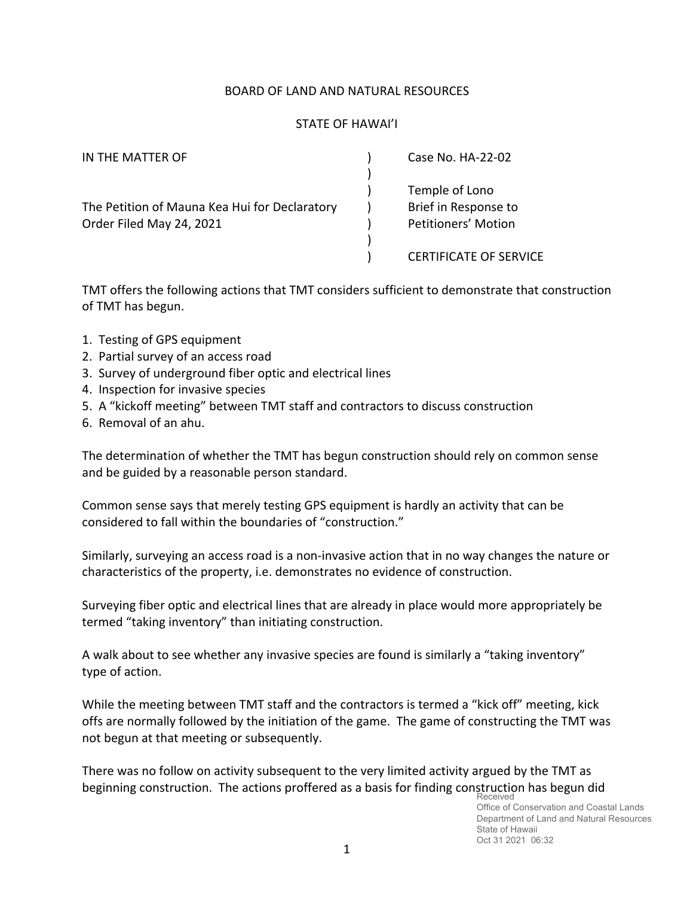## BOARD OF LAND AND NATURAL RESOURCES

## STATE OF HAWAI'I

| IN THE MATTER OF                              | Case No. HA-22-02             |
|-----------------------------------------------|-------------------------------|
|                                               | Temple of Lono                |
| The Petition of Mauna Kea Hui for Declaratory | Brief in Response to          |
| Order Filed May 24, 2021                      | Petitioners' Motion           |
|                                               |                               |
|                                               | <b>CERTIFICATE OF SERVICE</b> |

TMT offers the following actions that TMT considers sufficient to demonstrate that construction of TMT has begun.

- 1. Testing of GPS equipment
- 2. Partial survey of an access road
- 3. Survey of underground fiber optic and electrical lines
- 4. Inspection for invasive species
- 5. A "kickoff meeting" between TMT staff and contractors to discuss construction
- 6. Removal of an ahu.

The determination of whether the TMT has begun construction should rely on common sense and be guided by a reasonable person standard.

Common sense says that merely testing GPS equipment is hardly an activity that can be considered to fall within the boundaries of "construction."

Similarly, surveying an access road is a non-invasive action that in no way changes the nature or characteristics of the property, i.e. demonstrates no evidence of construction.

Surveying fiber optic and electrical lines that are already in place would more appropriately be termed "taking inventory" than initiating construction.

A walk about to see whether any invasive species are found is similarly a "taking inventory" type of action.

While the meeting between TMT staff and the contractors is termed a "kick off" meeting, kick offs are normally followed by the initiation of the game. The game of constructing the TMT was not begun at that meeting or subsequently.

There was no follow on activity subsequent to the very limited activity argued by the TMT as beginning construction. The actions proffered as a basis for finding construction has begun did Received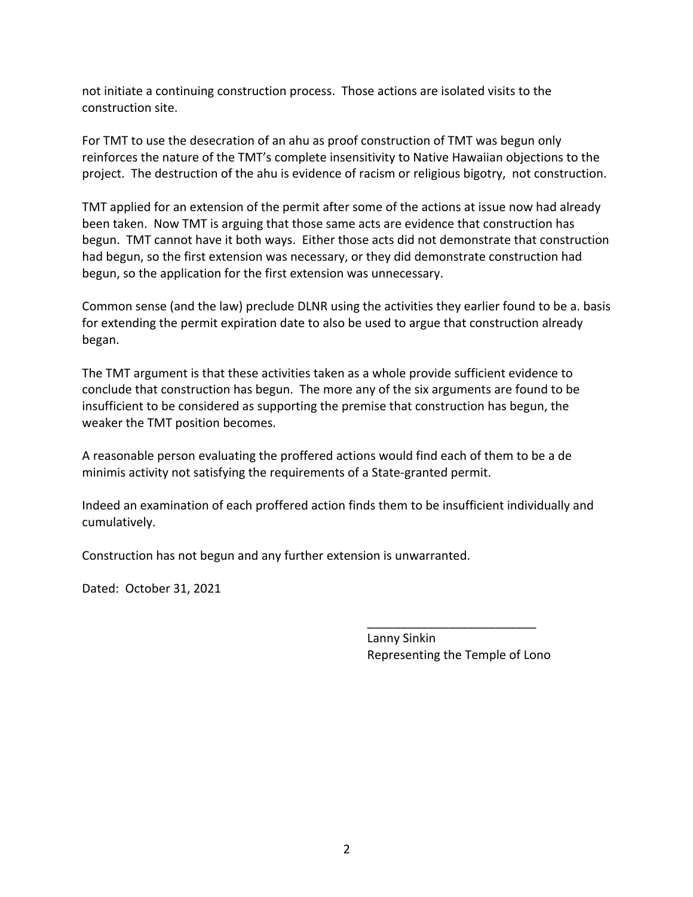not initiate a continuing construction process. Those actions are isolated visits to the construction site.

For TMT to use the desecration of an ahu as proof construction of TMT was begun only reinforces the nature of the TMT's complete insensitivity to Native Hawaiian objections to the project. The destruction of the ahu is evidence of racism or religious bigotry, not construction.

TMT applied for an extension of the permit after some of the actions at issue now had already been taken. Now TMT is arguing that those same acts are evidence that construction has begun. TMT cannot have it both ways. Either those acts did not demonstrate that construction had begun, so the first extension was necessary, or they did demonstrate construction had begun, so the application for the first extension was unnecessary.

Common sense (and the law) preclude DLNR using the activities they earlier found to be a. basis for extending the permit expiration date to also be used to argue that construction already began.

The TMT argument is that these activities taken as a whole provide sufficient evidence to conclude that construction has begun. The more any of the six arguments are found to be insufficient to be considered as supporting the premise that construction has begun, the weaker the TMT position becomes.

A reasonable person evaluating the proffered actions would find each of them to be a de minimis activity not satisfying the requirements of a State-granted permit.

Indeed an examination of each proffered action finds them to be insufficient individually and cumulatively.

Construction has not begun and any further extension is unwarranted.

Dated: October 31, 2021

Lanny Sinkin Representing the Temple of Lono

\_\_\_\_\_\_\_\_\_\_\_\_\_\_\_\_\_\_\_\_\_\_\_\_\_